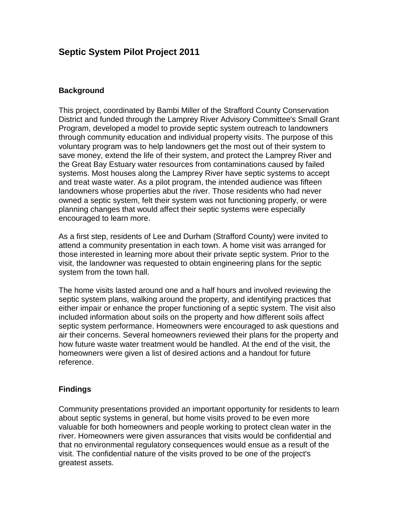## **Septic System Pilot Project 2011**

## **Background**

This project, coordinated by Bambi Miller of the Strafford County Conservation District and funded through the Lamprey River Advisory Committee's Small Grant Program, developed a model to provide septic system outreach to landowners through community education and individual property visits. The purpose of this voluntary program was to help landowners get the most out of their system to save money, extend the life of their system, and protect the Lamprey River and the Great Bay Estuary water resources from contaminations caused by failed systems. Most houses along the Lamprey River have septic systems to accept and treat waste water. As a pilot program, the intended audience was fifteen landowners whose properties abut the river. Those residents who had never owned a septic system, felt their system was not functioning properly, or were planning changes that would affect their septic systems were especially encouraged to learn more.

As a first step, residents of Lee and Durham (Strafford County) were invited to attend a community presentation in each town. A home visit was arranged for those interested in learning more about their private septic system. Prior to the visit, the landowner was requested to obtain engineering plans for the septic system from the town hall.

The home visits lasted around one and a half hours and involved reviewing the septic system plans, walking around the property, and identifying practices that either impair or enhance the proper functioning of a septic system. The visit also included information about soils on the property and how different soils affect septic system performance. Homeowners were encouraged to ask questions and air their concerns. Several homeowners reviewed their plans for the property and how future waste water treatment would be handled. At the end of the visit, the homeowners were given a list of desired actions and a handout for future reference.

## **Findings**

Community presentations provided an important opportunity for residents to learn about septic systems in general, but home visits proved to be even more valuable for both homeowners and people working to protect clean water in the river. Homeowners were given assurances that visits would be confidential and that no environmental regulatory consequences would ensue as a result of the visit. The confidential nature of the visits proved to be one of the project's greatest assets.